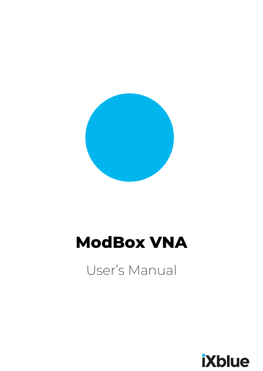

# **ModBox VNA**

User's Manual

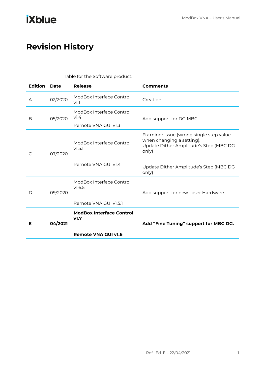## <span id="page-2-0"></span>**Revision History**

| Table for the Software product: |         |                                                                     |                                                                                                                          |
|---------------------------------|---------|---------------------------------------------------------------------|--------------------------------------------------------------------------------------------------------------------------|
| <b>Edition</b>                  | Date    | Release                                                             | <b>Comments</b>                                                                                                          |
| A                               | 02/2020 | ModBox Interface Control<br>V <sub>1.1</sub>                        | Creation                                                                                                                 |
| B                               | 05/2020 | ModBox Interface Control<br>V <sub>1.4</sub><br>Remote VNA GUI v1.3 | Add support for DG MBC                                                                                                   |
| C                               | 07/2020 | ModBox Interface Control<br>V1.5.1                                  | Fix minor issue (wrong single step value<br>when changing a setting).<br>Update Dither Amplitude's Step (MBC DG<br>only) |
|                                 |         | Remote VNA GUI v1.4                                                 | Update Dither Amplitude's Step (MBC DG<br>only)                                                                          |
| D                               | 09/2020 | ModBox Interface Control<br>V.6.5                                   | Add support for new Laser Hardware.                                                                                      |
|                                 |         | Remote VNA GUI v1.5.1                                               |                                                                                                                          |
| Е                               | 04/2021 | <b>ModBox Interface Control</b><br>v1.7                             | Add "Fine Tuning" support for MBC DG.                                                                                    |
|                                 |         | Remote VNA GUI v1.6                                                 |                                                                                                                          |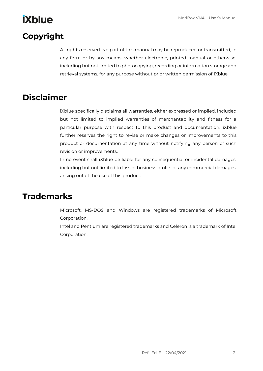## <span id="page-3-0"></span>**Copyright**

All rights reserved. No part of this manual may be reproduced or transmitted, in any form or by any means, whether electronic, printed manual or otherwise, including but not limited to photocopying, recording or information storage and retrieval systems, for any purpose without prior written permission of iXblue.

### <span id="page-3-1"></span>**Disclaimer**

iXblue specifically disclaims all warranties, either expressed or implied, included but not limited to implied warranties of merchantability and fitness for a particular purpose with respect to this product and documentation. iXblue further reserves the right to revise or make changes or improvements to this product or documentation at any time without notifying any person of such revision or improvements.

In no event shall iXblue be liable for any consequential or incidental damages, including but not limited to loss of business profits or any commercial damages, arising out of the use of this product.

### <span id="page-3-2"></span>**Trademarks**

Microsoft, MS-DOS and Windows are registered trademarks of Microsoft Corporation.

Intel and Pentium are registered trademarks and Celeron is a trademark of Intel Corporation.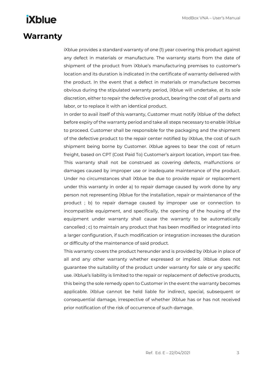### <span id="page-4-0"></span>**Warranty**

iXblue provides a standard warranty of one (1) year covering this product against any defect in materials or manufacture. The warranty starts from the date of shipment of the product from iXblue's manufacturing premises to customer's location and its duration is indicated in the certificate of warranty delivered with the product. In the event that a defect in materials or manufacture becomes obvious during the stipulated warranty period, iXblue will undertake, at its sole discretion, either to repair the defective product, bearing the cost of all parts and labor, or to replace it with an identical product.

In order to avail itself of this warranty, Customer must notify iXblue of the defect before expiry of the warranty period and take all steps necessary to enable iXblue to proceed. Customer shall be responsible for the packaging and the shipment of the defective product to the repair center notified by iXblue, the cost of such shipment being borne by Customer. iXblue agrees to bear the cost of return freight, based on CPT (Cost Paid To) Customer's airport location, import tax-free. This warranty shall not be construed as covering defects, malfunctions or damages caused by improper use or inadequate maintenance of the product. Under no circumstances shall iXblue be due to provide repair or replacement under this warranty in order a) to repair damage caused by work done by any person not representing iXblue for the installation, repair or maintenance of the product ; b) to repair damage caused by improper use or connection to incompatible equipment, and specifically, the opening of the housing of the equipment under warranty shall cause the warranty to be automatically cancelled ; c) to maintain any product that has been modified or integrated into a larger configuration, if such modification or integration increases the duration or difficulty of the maintenance of said product.

This warranty covers the product hereunder and is provided by iXblue in place of all and any other warranty whether expressed or implied. iXblue does not guarantee the suitability of the product under warranty for sale or any specific use. iXblue's liability is limited to the repair or replacement of defective products, this being the sole remedy open to Customer in the event the warranty becomes applicable. iXblue cannot be held liable for indirect, special, subsequent or consequential damage, irrespective of whether iXblue has or has not received prior notification of the risk of occurrence of such damage.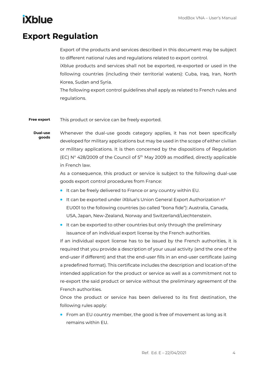## <span id="page-5-0"></span>**Export Regulation**

Export of the products and services described in this document may be subject to different national rules and regulations related to export control.

iXblue products and services shall not be exported, re-exported or used in the following countries (including their territorial waters): Cuba, Iraq, Iran, North Korea, Sudan and Syria.

The following export control guidelines shall apply as related to French rules and regulations.

This product or service can be freely exported. **Free export**

Whenever the dual-use goods category applies, it has not been specifically developed for military applications but may be used in the scope of either civilian or military applications. It is then concerned by the dispositions of Regulation (EC) N° 428/2009 of the Council of 5th May 2009 as modified, directly applicable in French law. **Dual-use goods**

> As a consequence, this product or service is subject to the following dual-use goods export control procedures from France:

- It can be freely delivered to France or any country within EU.
- It can be exported under iXblue's Union General Export Authorization n° EU001 to the following countries (so called "bona fide"): Australia, Canada, USA, Japan, New-Zealand, Norway and Switzerland/Liechtenstein.
- It can be exported to other countries but only through the preliminary issuance of an individual export license by the French authorities.

If an individual export license has to be issued by the French authorities, it is required that you provide a description of your usual activity (and the one of the end-user if different) and that the end-user fills in an end-user certificate (using a predefined format). This certificate includes the description and location of the intended application for the product or service as well as a commitment not to re-export the said product or service without the preliminary agreement of the French authorities.

Once the product or service has been delivered to its first destination, the following rules apply:

• From an EU country member, the good is free of movement as long as it remains within EU.

Ref. Ed. E – 22/04/2021 4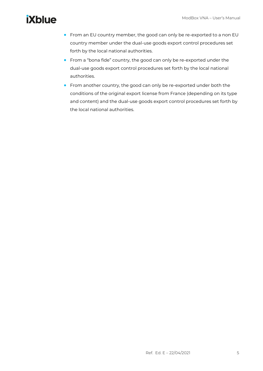- From an EU country member, the good can only be re-exported to a non EU country member under the dual-use goods export control procedures set forth by the local national authorities.
- From a "bona fide" country, the good can only be re-exported under the dual-use goods export control procedures set forth by the local national authorities.
- From another country, the good can only be re-exported under both the conditions of the original export license from France (depending on its type and content) and the dual-use goods export control procedures set forth by the local national authorities.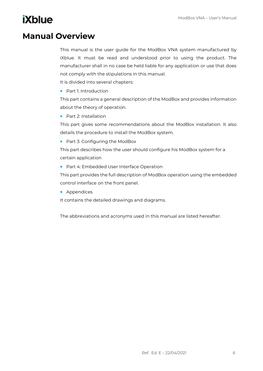### <span id="page-7-0"></span>**Manual Overview**

This manual is the user guide for the ModBox VNA system manufactured by iXblue. It must be read and understood prior to using the product. The manufacturer shall in no case be held liable for any application or use that does not comply with the stipulations in this manual. It is divided into several chapters:

• Part 1: Introduction

This part contains a general description of the ModBox and provides information about the theory of operation.

• Part 2: Installation

This part gives some recommendations about the ModBox installation. It also details the procedure to install the ModBox system.

• Part 3: Configuring the ModBox

This part describes how the user should configure his ModBox system for a certain application

• Part 4: Embedded User Interface Operation

This part provides the full description of ModBox operation using the embedded control interface on the front panel.

• Appendices

It contains the detailed drawings and diagrams.

The abbreviations and acronyms used in this manual are listed hereafter.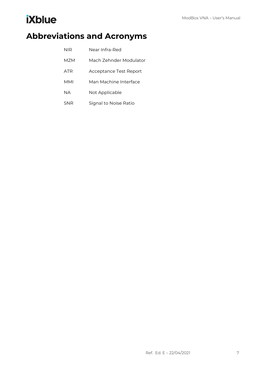## <span id="page-8-0"></span>**Abbreviations and Acronyms**

| NIR | Near Infra-Red         |
|-----|------------------------|
| M7M | Mach Zehnder Modulator |
| ATR | Acceptance Test Report |
| MMI | Man Machine Interface  |
| NА  | Not Applicable         |
| SNR | Signal to Noise Ratio  |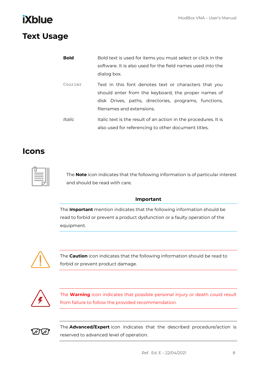### <span id="page-9-0"></span>**Text Usage**

| <b>Bold</b> | Bold text is used for items you must select or click in the                                                  |  |  |
|-------------|--------------------------------------------------------------------------------------------------------------|--|--|
|             | software. It is also used for the field names used into the                                                  |  |  |
|             | dialog box.                                                                                                  |  |  |
| Courier     | Text in this font denotes text or characters that you<br>should enter from the keyboard, the proper names of |  |  |
|             | disk Drives, paths, directories, programs, functions,                                                        |  |  |
|             | filenames and extensions.                                                                                    |  |  |
| Italic      | Italic text is the result of an action in the procedures. It is                                              |  |  |
|             | also used for referencing to other document titles.                                                          |  |  |

### <span id="page-9-1"></span>**Icons**



The **Note** icon indicates that the following information is of particular interest and should be read with care.

### **Important**

The **Important** mention indicates that the following information should be read to forbid or prevent a product dysfunction or a faulty operation of the equipment.



The **Caution** icon indicates that the following information should be read to forbid or prevent product damage.



The **Warning** icon indicates that possible personal injury or death could result from failure to follow the provided recommendation.



The **Advanced/Expert** icon indicates that the described procedure/action is reserved to advanced level of operation.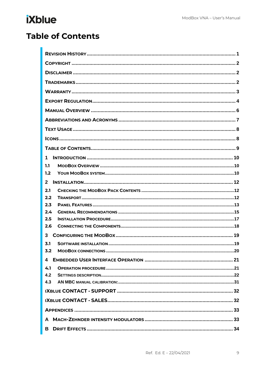## <span id="page-10-0"></span>**Table of Contents**

| 1            |  |  |  |  |
|--------------|--|--|--|--|
| 1.1          |  |  |  |  |
| 1.2          |  |  |  |  |
| $\mathbf{2}$ |  |  |  |  |
| 2.1          |  |  |  |  |
| 2.2          |  |  |  |  |
| 2.3          |  |  |  |  |
| 2.4          |  |  |  |  |
| 2.5          |  |  |  |  |
| 2.6          |  |  |  |  |
| 3            |  |  |  |  |
| 3.1          |  |  |  |  |
| 3.2          |  |  |  |  |
|              |  |  |  |  |
| 4.1          |  |  |  |  |
| 4.2          |  |  |  |  |
| 4.3          |  |  |  |  |
|              |  |  |  |  |
|              |  |  |  |  |
|              |  |  |  |  |
|              |  |  |  |  |
| в            |  |  |  |  |
|              |  |  |  |  |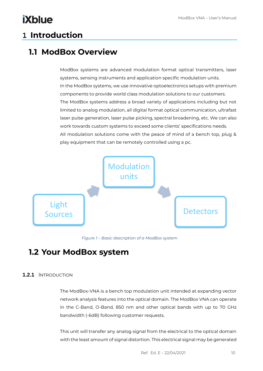## <span id="page-11-0"></span>**1 Introduction**

### <span id="page-11-1"></span>**1.1 ModBox Overview**

ModBox systems are advanced modulation format optical transmitters, laser systems, sensing instruments and application specific modulation units. In the ModBox systems, we use innovative optoelectronics setups with premium components to provide world class modulation solutions to our customers. The ModBox systems address a broad variety of applications including but not limited to analog modulation, all digital format optical communication, ultrafast laser pulse generation, laser pulse picking, spectral broadening, etc. We can also work towards custom systems to exceed some clients' specifications needs. All modulation solutions come with the peace of mind of a bench top, plug & play equipment that can be remotely controlled using a pc.



*Figure 1 – Basic description of a ModBox system*

### <span id="page-11-2"></span>**1.2 Your ModBox system**

### **1.2.1** INTRODUCTION

The ModBox-VNA is a bench top modulation unit intended at expanding vector network analysis features into the optical domain. The ModBox VNA can operate in the C-Band, O-Band, 850 nm and other optical bands with up to 70 GHz bandwidth (-6dB) following customer requests.

This unit will transfer any analog signal from the electrical to the optical domain with the least amount of signal distortion. This electrical signal may be generated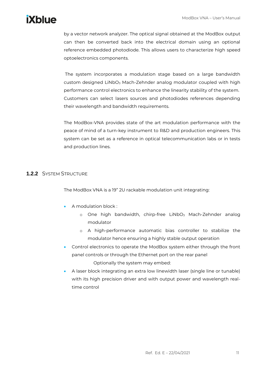by a vector network analyzer. The optical signal obtained at the ModBox output can then be converted back into the electrical domain using an optional reference embedded photodiode. This allows users to characterize high speed optoelectronics components.

The system incorporates a modulation stage based on a large bandwidth custom designed LiNbO<sub>3</sub> Mach-Zehnder analog modulator coupled with high performance control electronics to enhance the linearity stability of the system. Customers can select lasers sources and photodiodes references depending their wavelength and bandwidth requirements.

The ModBox-VNA provides state of the art modulation performance with the peace of mind of a turn-key instrument to R&D and production engineers. This system can be set as a reference in optical telecommunication labs or in tests and production lines.

### **1.2.2** SYSTEM STRUCTURE

The ModBox VNA is a 19" 2U rackable modulation unit integrating:

- A modulation block :
	- $\circ$  One high bandwidth, chirp-free LiNbO<sub>3</sub> Mach-Zehnder analog modulator
	- o A high-performance automatic bias controller to stabilize the modulator hence ensuring a highly stable output operation
- Control electronics to operate the ModBox system either through the front panel controls or through the Ethernet port on the rear panel Optionally the system may embed:
- A laser block integrating an extra low linewidth laser (single line or tunable) with its high precision driver and with output power and wavelength realtime control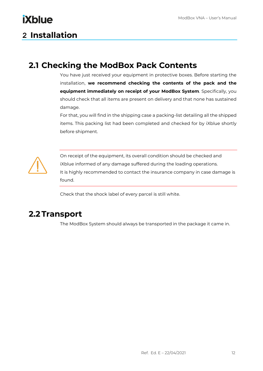## <span id="page-13-0"></span>**2 Installation**

**iXblue** 

### <span id="page-13-1"></span>**2.1 Checking the ModBox Pack Contents**

You have just received your equipment in protective boxes. Before starting the installation, **we recommend checking the contents of the pack and the equipment immediately on receipt of your ModBox System**. Specifically, you should check that all items are present on delivery and that none has sustained damage.

For that, you will find in the shipping case a packing-list detailing all the shipped items. This packing list had been completed and checked for by iXblue shortly before shipment.



On receipt of the equipment, its overall condition should be checked and iXblue informed of any damage suffered during the loading operations. It is highly recommended to contact the insurance company in case damage is found.

Check that the shock label of every parcel is still white.

### <span id="page-13-2"></span>**2.2 Transport**

The ModBox System should always be transported in the package it came in.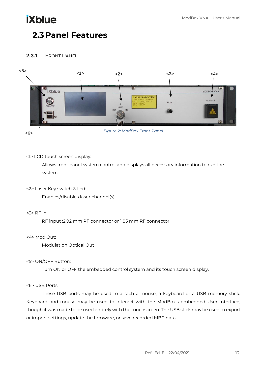## <span id="page-14-0"></span>**2.3 Panel Features**

### **2.3.1** FRONT PANEL



<6>

*Figure 2: ModBox Front Panel*

#### <1> LCD touch screen display:

Allows front panel system control and displays all necessary information to run the system

<2> Laser Key switch & Led:

Enables/disables laser channel(s).

<3> RF In:

RF input :2.92 mm RF connector or 1.85 mm RF connector

<4> Mod Out:

Modulation Optical Out

### <5> ON/OFF Button:

Turn ON or OFF the embedded control system and its touch screen display.

#### <6> USB Ports

These USB ports may be used to attach a mouse, a keyboard or a USB memory stick. Keyboard and mouse may be used to interact with the ModBox's embedded User Interface, though it was made to be used entirely with the touchscreen. The USB stick may be used to export or import settings, update the firmware, or save recorded MBC data.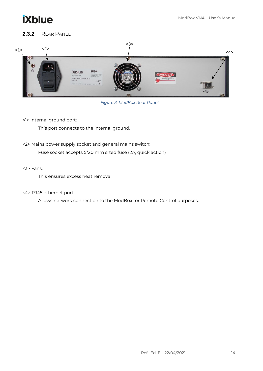

### **2.3.2** REAR PANEL



*Figure 3: ModBox Rear Panel*

<1> Internal ground port:

This port connects to the internal ground.

<2> Mains power supply socket and general mains switch:

Fuse socket accepts 5\*20 mm sized fuse (2A, quick action)

#### <3> Fans:

This ensures excess heat removal

#### <4> RJ45 ethernet port

Allows network connection to the ModBox for Remote Control purposes.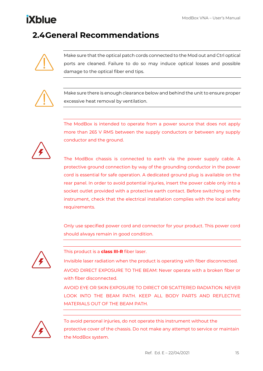## <span id="page-16-0"></span>**2.4General Recommendations**



Make sure that the optical patch cords connected to the Mod out and Ctrl optical ports are cleaned. Failure to do so may induce optical losses and possible damage to the optical fiber end tips.



Make sure there is enough clearance below and behind the unit to ensure proper excessive heat removal by ventilation.

The ModBox is intended to operate from a power source that does not apply more than 265 V RMS between the supply conductors or between any supply conductor and the ground.



The ModBox chassis is connected to earth via the power supply cable. A protective ground connection by way of the grounding conductor in the power cord is essential for safe operation. A dedicated ground plug is available on the rear panel. In order to avoid potential injuries, insert the power cable only into a socket outlet provided with a protective earth contact. Before switching on the instrument, check that the electrical installation complies with the local safety requirements.

Only use specified power cord and connector for your product. This power cord should always remain in good condition.



This product is a **class III-R** fiber laser.

Invisible laser radiation when the product is operating with fiber disconnected.

AVOID DIRECT EXPOSURE TO THE BEAM: Never operate with a broken fiber or with fiber disconnected.

AVOID EYE OR SKIN EXPOSURE TO DIRECT OR SCATTERED RADIATION. NEVER LOOK INTO THE BEAM PATH. KEEP ALL BODY PARTS AND REFLECTIVE MATERIALS OUT OF THE BEAM PATH.



To avoid personal injuries, do not operate this instrument without the protective cover of the chassis. Do not make any attempt to service or maintain the ModBox system.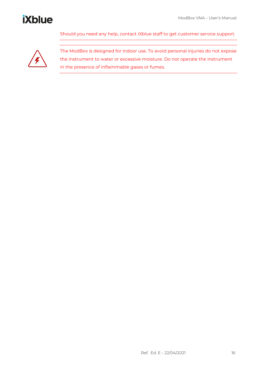Should you need any help, contact iXblue staff to get customer service support.



The ModBox is designed for indoor use. To avoid personal injuries do not expose the instrument to water or excessive moisture. Do not operate the instrument in the presence of inflammable gases or fumes.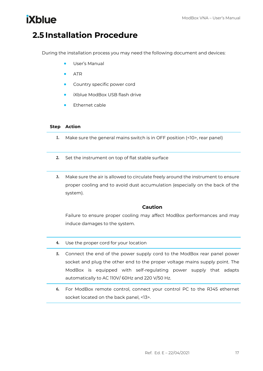### <span id="page-18-0"></span>**2.5 Installation Procedure**

During the installation process you may need the following document and devices:

- User's Manual
- ATR
- Country specific power cord
- iXblue ModBox USB flash drive
- Ethernet cable

#### **Step Action**

- 1. Make sure the general mains switch is in OFF position (<10>, rear panel)
- 2. Set the instrument on top of flat stable surface
- 3. Make sure the air is allowed to circulate freely around the instrument to ensure proper cooling and to avoid dust accumulation (especially on the back of the system).

### **Caution**

Failure to ensure proper cooling may affect ModBox performances and may induce damages to the system.

- 4. Use the proper cord for your location
- 5. Connect the end of the power supply cord to the ModBox rear panel power socket and plug the other end to the proper voltage mains supply point. The ModBox is equipped with self-regulating power supply that adapts automatically to AC 110V/ 60Hz and 220 V/50 Hz.
- 6. For ModBox remote control, connect your control PC to the RJ45 ethernet socket located on the back panel, <13>.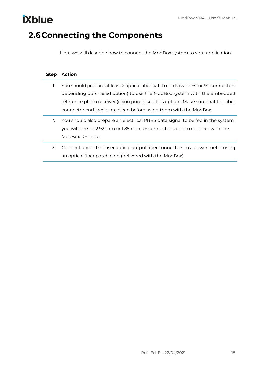## <span id="page-19-0"></span>**2.6Connecting the Components**

**iXblue** 

Here we will describe how to connect the ModBox system to your application.

| <b>Step</b> | <b>Action</b>                                                                     |
|-------------|-----------------------------------------------------------------------------------|
| Ι.          | You should prepare at least 2 optical fiber patch cords (with FC or SC connectors |
|             | depending purchased option) to use the ModBox system with the embedded            |
|             | reference photo receiver (if you purchased this option). Make sure that the fiber |
|             | connector end facets are clean before using them with the ModBox.                 |
| 2.          | You should also prepare an electrical PRBS data signal to be fed in the system,   |
|             | you will need a 2.92 mm or 1.85 mm RF connector cable to connect with the         |
|             | ModBox RF input.                                                                  |
| 3.          | Connect one of the laser optical output fiber connectors to a power meter using   |
|             | an optical fiber patch cord (delivered with the ModBox).                          |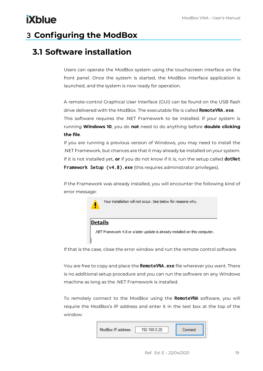## <span id="page-20-0"></span>**3 Configuring the ModBox**

### <span id="page-20-1"></span>**3.1 Software installation**

Users can operate the ModBox system using the touchscreen interface on the front panel. Once the system is started, the ModBox interface application is launched, and the system is now ready for operation.

A remote-control Graphical User Interface (GUI) can be found on the USB flash drive delivered with the ModBox. The executable file is called **RemoteVNA.exe**. This software requires the .NET Framework to be installed. If your system is running **Windows 10**, you do **not** need to do anything before **double clicking the file**.

If you are running a previous version of Windows, you may need to install the .NET Framework, but chances are that it may already be installed on your system. If it is not installed yet, **or** if you do not know if it is, run the setup called **dotNet Framework Setup (v4.8).exe** (this requires administrator privileges).

If the Framework was already installed, you will encounter the following kind of error message:



**Details** 

.NET Framework 4.8 or a later update is already installed on this computer.

If that is the case, close the error window and run the remote control software.

You are free to copy and place the **RemoteVNA.exe** file wherever you want. There is no additional setup procedure and you can run the software on any Windows machine as long as the .NET Framework is installed.

To remotely connect to the ModBox using the **RemoteVNA** software, you will require the ModBox's IP address and enter it in the text box at the top of the window:

| ModBox IP address: | 192 168 0 20 | Connect |
|--------------------|--------------|---------|
|                    |              |         |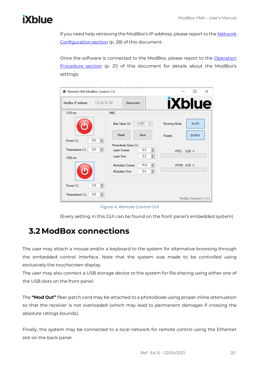# **ixblue**

If you need help retrieving the ModBox's IP address, please report to the Network [Configuration section](#page-29-0) (p. 28) of this document.

Once the software is connected to the ModBox, please report to the Operation [Procedure section](#page-22-2) (p. 21) of this document for details about the ModBox's settings:

| <b>IX</b> Remote VNA ModBox Control v1.0<br>$\times$<br>п |                                                    |               |                        |  |
|-----------------------------------------------------------|----------------------------------------------------|---------------|------------------------|--|
| 172 20 76 135<br>ModBox IP address:                       | <b>Disconnect</b>                                  | <b>iXblue</b> |                        |  |
| 1310 nm                                                   | <b>MBC</b>                                         |               |                        |  |
|                                                           | 0.000<br>÷<br>Bias Value (V):                      | Running Mode: | <b>AUTO</b>            |  |
| H<br>0.0<br>Power (%):                                    | Reset<br>Save                                      | Polarity:     | $QUAD+$                |  |
| 쉐<br>0,0<br>Temperature (%):                              | Photodiode Gains (%)<br>≑∥<br>5,5<br>Laser Coarse: | VPDL: 0,00 V  |                        |  |
| 1550 nm                                                   | $\div$<br>0.2<br>Laser Fine:                       |               |                        |  |
|                                                           | ≑∣<br>15.9<br>Modulator Coarse:                    | VPDM: 0,00 V  |                        |  |
|                                                           | $\div$<br>0.4<br>Modulator Fine:                   |               |                        |  |
| 쉐<br>0,0<br>Power (%):                                    |                                                    |               |                        |  |
| ÷۱<br>0.0<br>Temperature (%):                             |                                                    |               | ModBox Software v1.0.0 |  |

*Figure 4: Remote Control GUI*

(Every setting in this GUI can be found on the front panel's embedded system)

### <span id="page-21-0"></span>**3.2ModBox connections**

The user may attach a mouse and/or a keyboard to the system for alternative browsing through the embedded control interface. Note that the system was made to be controlled using exclusively the touchscreen display.

The user may also connect a USB storage device to the system for file sharing using either one of the USB slots on the front panel.

The **"Mod Out"** fiber patch cord may be attached to a photodiode using proper inline attenuation so that the receiver is not overloaded (which may lead to permanent damages if crossing the absolute ratings bounds).

Finally, the system may be connected to a local network for remote control using the Ethernet slot on the back panel.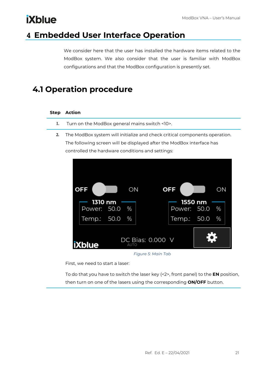## <span id="page-22-0"></span>**4 Embedded User Interface Operation**

<span id="page-22-2"></span>We consider here that the user has installed the hardware items related to the ModBox system. We also consider that the user is familiar with ModBox configurations and that the ModBox configuration is presently set.

### <span id="page-22-1"></span>**4.1 Operation procedure**

### **Step Action**

- 1. Turn on the ModBox general mains switch <10>.
- 2. The ModBox system will initialize and check critical components operation. The following screen will be displayed after the ModBox interface has controlled the hardware conditions and settings:



*Figure 5: Main Tab*

First, we need to start a laser:

To do that you have to switch the laser key (<2>, front panel) to the **EN** position, then turn on one of the lasers using the corresponding **ON/OFF** button.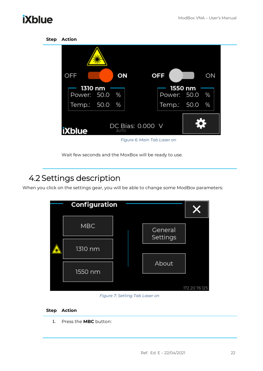| <b>Step</b> | <b>Action</b>            |                          |                             |                |
|-------------|--------------------------|--------------------------|-----------------------------|----------------|
|             |                          |                          |                             |                |
|             | OFF                      | ON                       | <b>OFF</b>                  | ON             |
|             | 1310 nm<br>Power: 50.0 % |                          | 1550 nm<br>Power: 50.0      | $-\frac{9}{6}$ |
|             | Temp.: 50.0              | %                        | Temp.: 50.0                 | %              |
|             | <b>iXblue</b>            | DC Bias: 0.000 V<br>AUTO |                             |                |
|             |                          |                          | Figure 6: Main Tab Laser on |                |

Wait few seconds and the MoxBox will be ready to use.

## <span id="page-23-0"></span>4.2 Settings description

When you click on the settings gear, you will be able to change some ModBox parameters:

| Configuration |  |                     | Х             |
|---------------|--|---------------------|---------------|
| <b>MBC</b>    |  | General<br>Settings |               |
| 1310 nm       |  |                     |               |
| 1550 nm       |  | About               |               |
|               |  |                     | 172.20.76.125 |

*Figure 7: Setting Tab Laser on*

#### **Step Action**

1. Press the **MBC** button: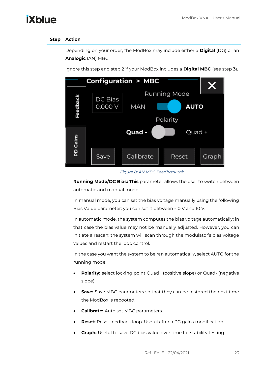#### **Step Action**

Depending on your order, the ModBox may include either a **Digital** (DG) or an **Analogic** (AN) MBC.

Ignore this step and step 2 if your ModBox includes a **Digital MBC** (see step **3**).



*Figure 8: AN MBC Feedback tab*

**Running Mode/DC Bias: This** parameter allows the user to switch between automatic and manual mode.

In manual mode, you can set the bias voltage manually using the following Bias Value parameter: you can set it between -10 V and 10 V.

In automatic mode, the system computes the bias voltage automatically: in that case the bias value may not be manually adjusted. However, you can initiate a rescan: the system will scan through the modulator's bias voltage values and restart the loop control.

In the case you want the system to be ran automatically, select AUTO for the running mode.

- **Polarity:** select locking point Quad+ (positive slope) or Quad- (negative slope).
- **Save:** Save MBC parameters so that they can be restored the next time the ModBox is rebooted.
- **Calibrate:** Auto set MBC parameters.
- **Reset:** Reset feedback loop. Useful after a PG gains modification.
- **Graph:** Useful to save DC bias value over time for stability testing.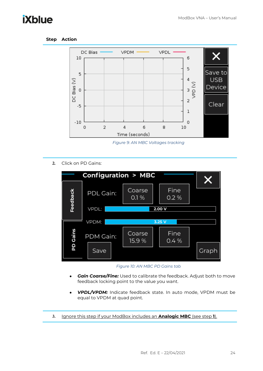#### **Step Action**



*Figure 9: AN MBC Voltages tracking*

2. Click on PD Gains:



*Figure 10: AN MBC PD Gains tab*

- *Gain Coarse/Fine:* Used to calibrate the feedback. Adjust both to move feedback locking point to the value you want.
- *VPDL/VPDM:* Indicate feedback state. In auto mode, VPDM must be equal to VPDM at quad point.
- 3. Ignore this step if your ModBox includes an **Analogic MBC** (see step **1**).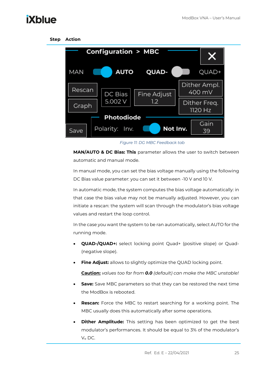

*Figure 11: DG MBC Feedback tab*

**MAN/AUTO & DC Bias: This** parameter allows the user to switch between automatic and manual mode.

In manual mode, you can set the bias voltage manually using the following DC Bias value parameter: you can set it between -10 V and 10 V.

In automatic mode, the system computes the bias voltage automatically: in that case the bias value may not be manually adjusted. However, you can initiate a rescan: the system will scan through the modulator's bias voltage values and restart the loop control.

In the case you want the system to be ran automatically, select AUTO for the running mode.

- **QUAD-/QUAD+:** select locking point Quad+ (positive slope) or Quad- (negative slope).
- **Fine Adjust:** allows to slightly optimize the QUAD locking point.

**Caution:** *values too far from 0.0 (default) can make the MBC unstable!*

- **Save:** Save MBC parameters so that they can be restored the next time the ModBox is rebooted.
- **Rescan:** Force the MBC to restart searching for a working point. The MBC usually does this automatically after some operations.
- **Dither Amplitude:** This setting has been optimized to get the best modulator's performances. It should be equal to 3% of the modulator's  $V_{\pi}$  DC.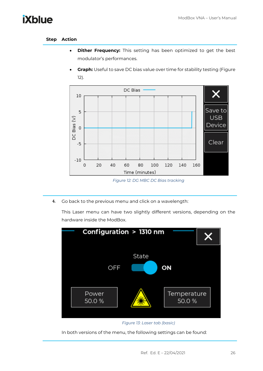#### **Step Action**

**iXblue** 

- **Dither Frequency:** This setting has been optimized to get the best modulator's performances.
- **Graph:** Useful to save DC bias value over time for stability testing [\(Figure](#page-27-0)  [12\)](#page-27-0).



*Figure 12: DG MBC DC Bias tracking*

<span id="page-27-0"></span>4. Go back to the previous menu and click on a wavelength:

This Laser menu can have two slightly different versions, depending on the hardware inside the ModBox.





<span id="page-27-1"></span>In both versions of the menu, the following settings can be found: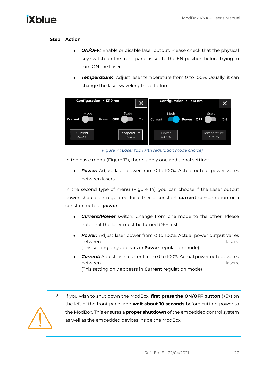### **Step Action**

- *ON/OFF:* Enable or disable laser output. Please check that the physical key switch on the front-panel is set to the EN position before trying to turn ON the Laser.
- **Temperature:** Adjust laser temperature from 0 to 100%. Usually, it can change the laser wavelength up to 1nm.



*Figure 14: Laser tab (with regulation mode choice)*

<span id="page-28-0"></span>In the basic menu [\(Figure 13\)](#page-27-1), there is only one additional setting:

• *Power:* Adjust laser power from 0 to 100%. Actual output power varies between lasers.

In the second type of menu [\(Figure 14\)](#page-28-0), you can choose if the Laser output power should be regulated for either a constant **current** consumption or a constant output **power**:

- *Current/Power* switch: Change from one mode to the other. Please note that the laser must be turned OFF first.
- **Power:** Adjust laser power from 0 to 100%. Actual power output varies between lasers. (This setting only appears in **Power** regulation mode)
- *Current:* Adjust laser current from 0 to 100%. Actual power output varies between lasers. (This setting only appears in **Current** regulation mode)
- 5. If you wish to shut down the ModBox, **first press the ON/OFF button** (<5>) on the left of the front panel and **wait about 10 seconds** before cutting power to the ModBox. This ensures a **proper shutdown** of the embedded control system as well as the embedded devices inside the ModBox.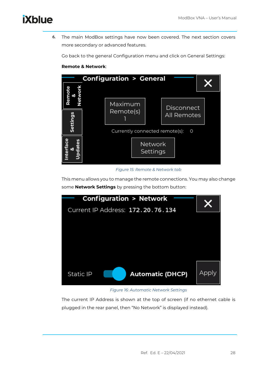6. The main ModBox settings have now been covered. The next section covers more secondary or advanced features.

Go back to the general Configuration menu and click on General Settings:

#### **Remote & Network**:



#### <span id="page-29-0"></span>*Figure 15: Remote & Network tab*

This menu allows you to manage the remote connections. You may also change some **Network Settings** by pressing the bottom button:



### *Figure 16: Automatic Network Settings*

The current IP Address is shown at the top of screen (if no ethernet cable is plugged in the rear panel, then "No Network" is displayed instead).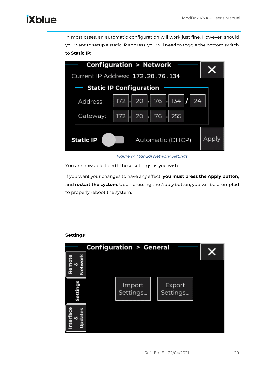In most cases, an automatic configuration will work just fine. However, should you want to setup a static IP address, you will need to toggle the bottom switch to **Static IP**:



#### *Figure 17: Manual Network Settings*

You are now able to edit those settings as you wish.

If you want your changes to have any effect, **you must press the Apply button**, and **restart the system**. Upon pressing the Apply button, you will be prompted to properly reboot the system.



### **Settings**: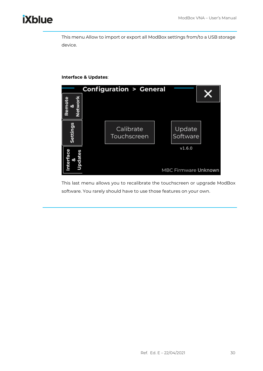This menu Allow to import or export all ModBox settings from/to a USB storage device.

### **Interface & Updates**:



This last menu allows you to recalibrate the touchscreen or upgrade ModBox software. You rarely should have to use those features on your own.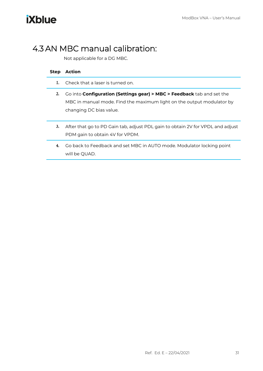## <span id="page-32-0"></span>4.3 AN MBC manual calibration:

Not applicable for a DG MBC.

| <b>Step</b> | Action                                                                                                                                                                                  |
|-------------|-----------------------------------------------------------------------------------------------------------------------------------------------------------------------------------------|
| Ι.          | Check that a laser is turned on.                                                                                                                                                        |
| 2.          | Go into <b>Configuration (Settings gear) &gt; MBC &gt; Feedback</b> tab and set the<br>MBC in manual mode. Find the maximum light on the output modulator by<br>changing DC bias value. |
| 3.          | After that go to PD Gain tab, adjust PDL gain to obtain 2V for VPDL and adjust<br>PDM gain to obtain 4V for VPDM.                                                                       |
| 4.          | Go back to Feedback and set MBC in AUTO mode. Modulator locking point<br>will be QUAD.                                                                                                  |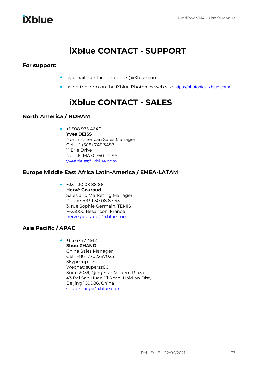## **iXblue CONTACT - SUPPORT**

### <span id="page-33-0"></span>**For support:**

- by email: contact.photonics@iXblue.com
- using the form on the iXblue Photonics web site <https://photonics.ixblue.com/>

## **iXblue CONTACT - SALES**

### <span id="page-33-1"></span>**North America / NORAM**

• +1 508 975 4640 **Yves DEISS** North American Sales Manager Cell: +1 (508) 745 3487 11 Erie Drive Natick, MA 01760 - USA [yves.deiss@ixblue.com](mailto:yves.deiss@ixblue.com)

### **Europe Middle East Africa Latin-America / EMEA-LATAM**

• +33 1 30 08 88 88 **Hervé Gouraud** Sales and Marketing Manager Phone: +33 1 30 08 87 43 3, rue Sophie Germain, TEMIS F-25000 Besançon, France [herve.gouraud@ixblue.com](mailto:herve.gouraud@ixblue.com)

### **Asia Pacific / APAC**

 $+6567474912$ **Shuo ZHANG** China Sales Manager Cell: +86 17702287025 Skype: uperzs Wechat: superzs80 Suite 2039, Qing Yun Modern Plaza 43 Bei San Huan Xi Road, Haidian Dist, Beijing 100086, China [shuo.zhang@ixblue.com](mailto:shuo.zhang@ixblue.com)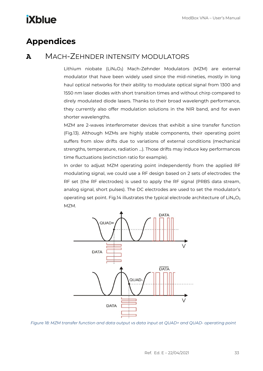## <span id="page-34-0"></span>**Appendices**

### <span id="page-34-1"></span>**A** MACH-ZEHNDER INTENSITY MODULATORS

Lithium niobate (LiN<sub>b</sub>O<sub>3</sub>) Mach-Zehnder Modulators (MZM) are external modulator that have been widely used since the mid-nineties, mostly in long haul optical networks for their ability to modulate optical signal from 1300 and 1550 nm laser diodes with short transition times and without chirp compared to direly modulated diode lasers. Thanks to their broad wavelength performance, they currently also offer modulation solutions in the NIR band, and for even shorter wavelengths.

MZM are 2-waves interferometer devices that exhibit a sine transfer function (Fig.13). Although MZMs are highly stable components, their operating point suffers from slow drifts due to variations of external conditions (mechanical strengths, temperature, radiation …). Those drifts may induce key performances time fluctuations (extinction ratio for example).

In order to adjust MZM operating point independently from the applied RF modulating signal, we could use a RF design based on 2 sets of electrodes: the RF set (the RF electrodes) is used to apply the RF signal (PRBS data stream, analog signal, short pulses). The DC electrodes are used to set the modulator's operating set point. Fig.14 illustrates the typical electrode architecture of  $LiN<sub>b</sub>O<sub>3</sub>$ MZM.



*Figure 18: MZM transfer function and data output vs data input at QUAD+ and QUAD- operating point*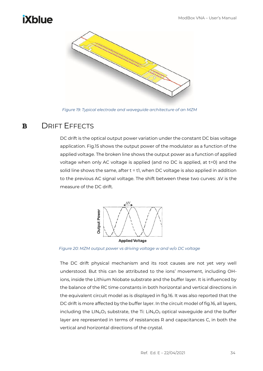

*Figure 19: Typical electrode and waveguide architecture of an MZM*

### <span id="page-35-0"></span>**B** DRIFT EFFECTS

DC drift is the optical output power variation under the constant DC bias voltage application. Fig.15 shows the output power of the modulator as a function of the applied voltage. The broken line shows the output power as a function of applied voltage when only AC voltage is applied (and no DC is applied, at t=0) and the solid line shows the same, after t = t1, when DC voltage is also applied in addition to the previous AC signal voltage. The shift between these two curves:  $\Delta V$  is the measure of the DC drift.



*Figure 20: MZM output power vs driving voltage w and w/o DC voltage*

The DC drift physical mechanism and its root causes are not yet very well understood. But this can be attributed to the ions' movement, including OHions, inside the Lithium Niobate substrate and the buffer layer. It is influenced by the balance of the RC time constants in both horizontal and vertical directions in the equivalent circuit model as is displayed in fig.16. It was also reported that the DC drift is more affected by the buffer layer. In the circuit model of fig.16, all layers, including the  $LIN_bO_3$  substrate, the Ti:  $LIN_bO_3$  optical waveguide and the buffer layer are represented in terms of resistances R and capacitances C, in both the vertical and horizontal directions of the crystal.